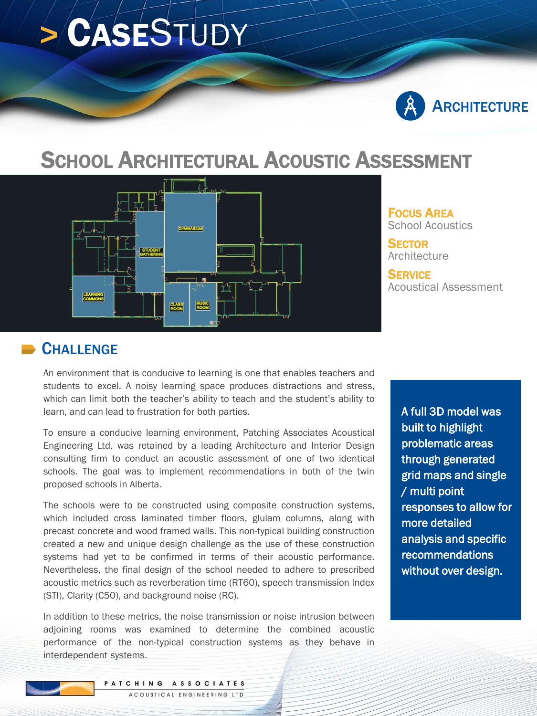# **>** CASESTUDY



## SCHOOL ARCHITECTURAL ACOUSTIC ASSESSMENT



FOCUS AREA School Acoustics

**SECTOR** Architecture

**SFRVICE** Acoustical Assessment

#### **CHALLENGE**

An environment that is conducive to learning is one that enables teachers and students to excel. A noisy learning space produces distractions and stress, which can limit both the teacher's ability to teach and the student's ability to learn, and can lead to frustration for both parties.

To ensure a conducive learning environment, Patching Associates Acoustical Engineering Ltd. was retained by a leading Architecture and Interior Design consulting firm to conduct an acoustic assessment of one of two identical schools. The goal was to implement recommendations in both of the twin proposed schools in Alberta.

The schools were to be constructed using composite construction systems, which included cross laminated timber floors, glulam columns, along with precast concrete and wood framed walls. This non-typical building construction created a new and unique design challenge as the use of these construction systems had yet to be confirmed in terms of their acoustic performance. Nevertheless, the final design of the school needed to adhere to prescribed acoustic metrics such as reverberation time (RT60), speech transmission Index (STI), Clarity (C50), and background noise (RC).

In addition to these metrics, the noise transmission or noise intrusion between adjoining rooms was examined to determine the combined acoustic performance of the non-typical construction systems as they behave in interdependent systems.

A full 3D model was built to highlight problematic areas through generated grid maps and single / multi point responses to allow for more detailed analysis and specific recommendations without over design.

PATCHING ASSOCIATES ACOUSTICAL ENGINEERING LTD